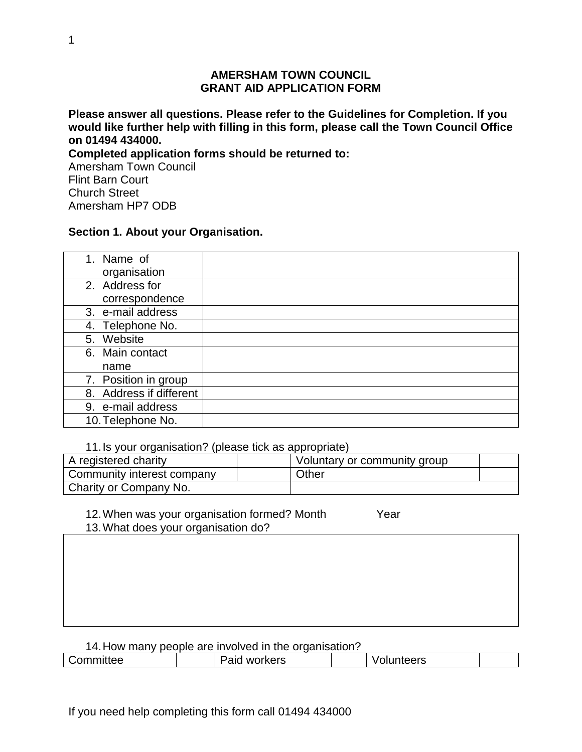### **AMERSHAM TOWN COUNCIL GRANT AID APPLICATION FORM**

**Please answer all questions. Please refer to the Guidelines for Completion. If you would like further help with filling in this form, please call the Town Council Office on 01494 434000.**

**Completed application forms should be returned to:**

Amersham Town Council Flint Barn Court Church Street Amersham HP7 ODB

## **Section 1. About your Organisation.**

| 1. Name of              |  |
|-------------------------|--|
| organisation            |  |
| 2. Address for          |  |
| correspondence          |  |
| 3. e-mail address       |  |
| 4. Telephone No.        |  |
| 5. Website              |  |
| 6. Main contact         |  |
| name                    |  |
| 7. Position in group    |  |
| 8. Address if different |  |
| 9. e-mail address       |  |
| 10. Telephone No.       |  |

11.Is your organisation? (please tick as appropriate)

| A registered charity       | Voluntary or community group |
|----------------------------|------------------------------|
| Community interest company | Other                        |
| Charity or Company No.     |                              |

12.When was your organisation formed? Month Year 13.What does your organisation do?

#### 14.How many people are involved in the organisation?

|           |                 | ______  |  |
|-----------|-----------------|---------|--|
| `ommittee | workers<br>Palu | unteers |  |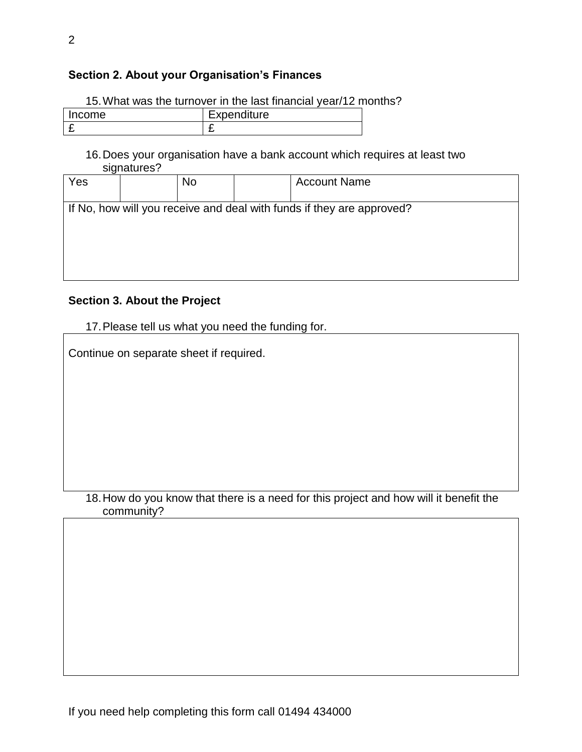# **Section 2. About your Organisation's Finances**

15.What was the turnover in the last financial year/12 months?

| <b>Income</b> | Expenditure |
|---------------|-------------|
|               | -           |

#### 16.Does your organisation have a bank account which requires at least two signatures?

| Yes | No | <b>Account Name</b>                                                   |
|-----|----|-----------------------------------------------------------------------|
|     |    |                                                                       |
|     |    | If No, how will you receive and deal with funds if they are approved? |
|     |    |                                                                       |
|     |    |                                                                       |
|     |    |                                                                       |
|     |    |                                                                       |
|     |    |                                                                       |
|     |    |                                                                       |
|     |    |                                                                       |

## **Section 3. About the Project**

17.Please tell us what you need the funding for.

Continue on separate sheet if required.

## 18.How do you know that there is a need for this project and how will it benefit the community?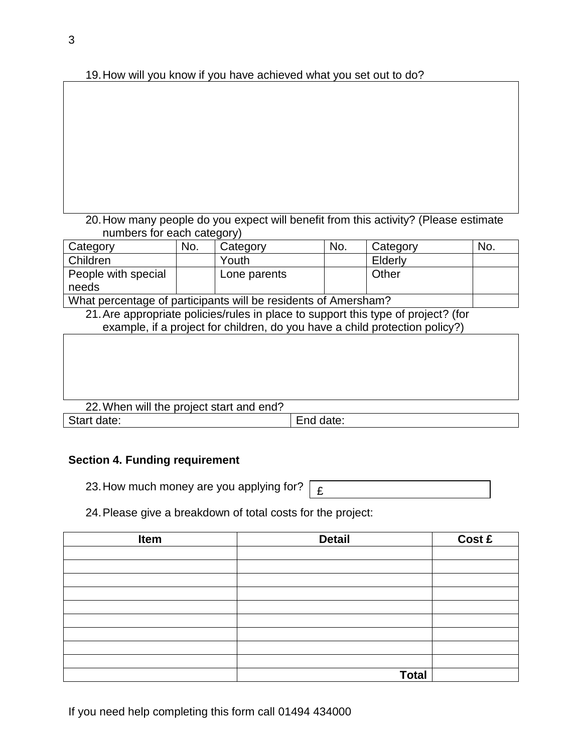19.How will you know if you have achieved what you set out to do?

20.How many people do you expect will benefit from this activity? (Please estimate numbers for each category)

| Category                                                       | No. | Category     | No. | Category | No. |
|----------------------------------------------------------------|-----|--------------|-----|----------|-----|
| Children                                                       |     | Youth        |     | Elderly  |     |
| People with special                                            |     | Lone parents |     | Other    |     |
| needs                                                          |     |              |     |          |     |
| What percentage of participants will be residents of Amersham? |     |              |     |          |     |

21.Are appropriate policies/rules in place to support this type of project? (for example, if a project for children, do you have a child protection policy?)

| 22. When will the project start and end? |           |
|------------------------------------------|-----------|
| Start date:                              | End date: |

## **Section 4. Funding requirement**

23.How much money are you applying for?

£

24.Please give a breakdown of total costs for the project:

| Item | <b>Detail</b> | Cost £ |
|------|---------------|--------|
|      |               |        |
|      |               |        |
|      |               |        |
|      |               |        |
|      |               |        |
|      |               |        |
|      |               |        |
|      |               |        |
|      |               |        |
|      | <b>Total</b>  |        |

If you need help completing this form call 01494 434000